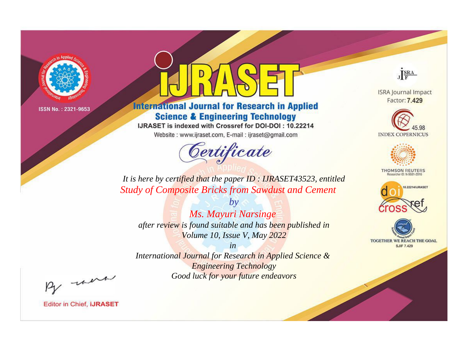

# **International Journal for Research in Applied Science & Engineering Technology**

IJRASET is indexed with Crossref for DOI-DOI: 10.22214

Website: www.ijraset.com, E-mail: ijraset@gmail.com



JERA

**ISRA Journal Impact** Factor: 7.429





**THOMSON REUTERS** 



TOGETHER WE REACH THE GOAL **SJIF 7.429** 

*It is here by certified that the paper ID : IJRASET43523, entitled Study of Composite Bricks from Sawdust and Cement*

*Ms. Mayuri Narsinge after review is found suitable and has been published in Volume 10, Issue V, May 2022*

*by*

*in* 

*International Journal for Research in Applied Science & Engineering Technology Good luck for your future endeavors*

By morn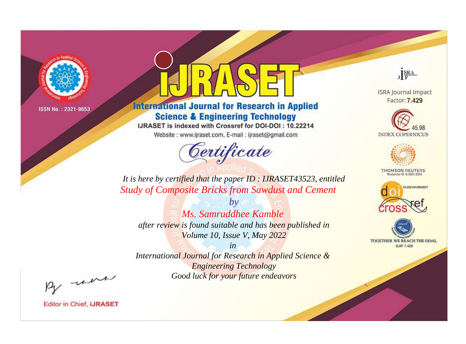

# **International Journal for Research in Applied Science & Engineering Technology**

IJRASET is indexed with Crossref for DOI-DOI: 10.22214

Website: www.ijraset.com, E-mail: ijraset@gmail.com



JERA

**ISRA Journal Impact** Factor: 7.429





**THOMSON REUTERS** 



TOGETHER WE REACH THE GOAL **SJIF 7.429** 

*It is here by certified that the paper ID : IJRASET43523, entitled Study of Composite Bricks from Sawdust and Cement*

*by Ms. Samruddhee Kamble after review is found suitable and has been published in Volume 10, Issue V, May 2022*

*in* 

*International Journal for Research in Applied Science & Engineering Technology Good luck for your future endeavors*

By morn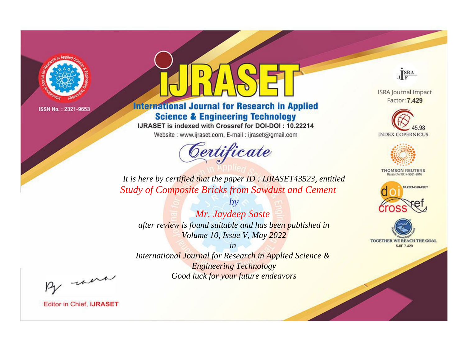

# **International Journal for Research in Applied Science & Engineering Technology**

IJRASET is indexed with Crossref for DOI-DOI: 10.22214

Website: www.ijraset.com, E-mail: ijraset@gmail.com



JERA

**ISRA Journal Impact** Factor: 7.429





**THOMSON REUTERS** 



TOGETHER WE REACH THE GOAL **SJIF 7.429** 

*It is here by certified that the paper ID : IJRASET43523, entitled Study of Composite Bricks from Sawdust and Cement*

*Mr. Jaydeep Saste after review is found suitable and has been published in Volume 10, Issue V, May 2022*

*by*

*in* 

*International Journal for Research in Applied Science & Engineering Technology Good luck for your future endeavors*

By morn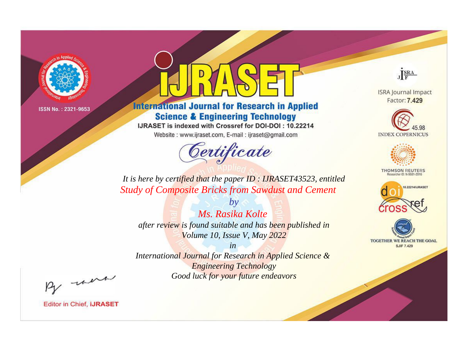

# **International Journal for Research in Applied Science & Engineering Technology**

IJRASET is indexed with Crossref for DOI-DOI: 10.22214

Website: www.ijraset.com, E-mail: ijraset@gmail.com



JERA

**ISRA Journal Impact** Factor: 7.429





**THOMSON REUTERS** 



TOGETHER WE REACH THE GOAL **SJIF 7.429** 

*It is here by certified that the paper ID : IJRASET43523, entitled Study of Composite Bricks from Sawdust and Cement*

*Ms. Rasika Kolte after review is found suitable and has been published in Volume 10, Issue V, May 2022*

*by*

*in* 

*International Journal for Research in Applied Science & Engineering Technology Good luck for your future endeavors*

By morn